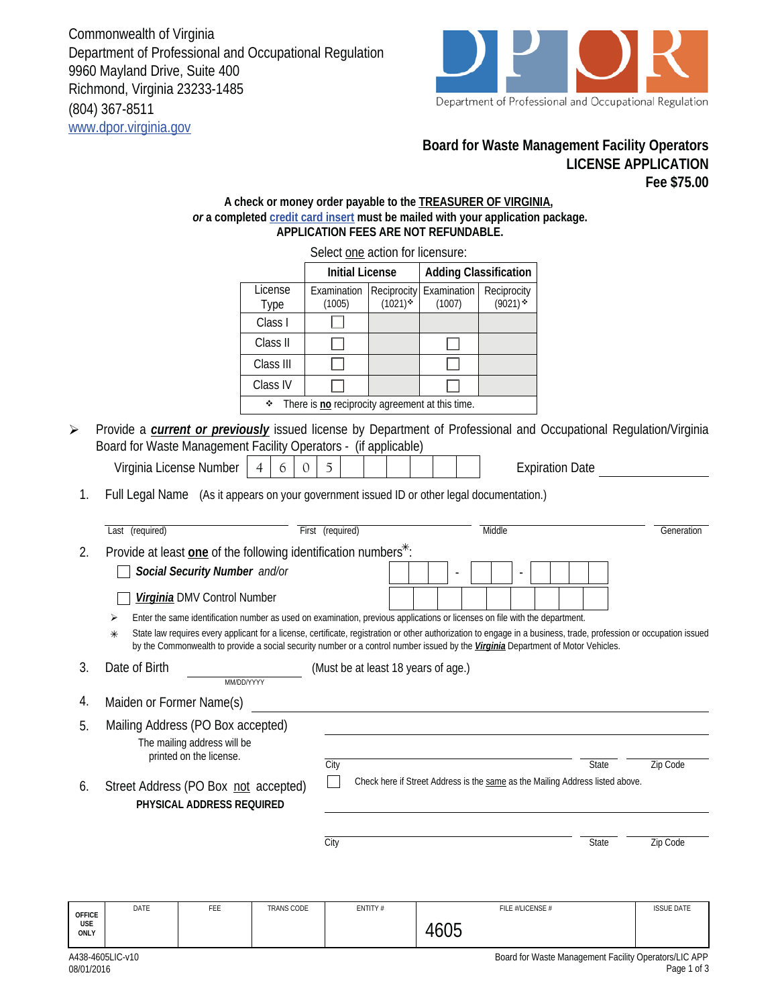Commonwealth of Virginia Department of Professional and Occupational Regulation 9960 Mayland Drive, Suite 400 Richmond, Virginia 23233-1485 (804) 367-8511 www.dpor.virginia.gov



## **Board for Waste Management Facility Operators LICENSE APPLICATION Fee \$75.00**

## **A check or money order payable to the TREASURER OF VIRGINIA,**  *or* **a completed credit card insert must be mailed with your application package. APPLICATION FEES ARE NOT REFUNDABLE.**

|                 |     |                         | Select one action for licensure:                                                                                                                                                                                                   |                                                                                                       |                                                                                         |                                                                                                                                                           |                                         |                                                                                                                |                                                                                                                                                       |                                                                                                                                                                                                                                                                                                                                                                                                                                                                                                                                              |
|-----------------|-----|-------------------------|------------------------------------------------------------------------------------------------------------------------------------------------------------------------------------------------------------------------------------|-------------------------------------------------------------------------------------------------------|-----------------------------------------------------------------------------------------|-----------------------------------------------------------------------------------------------------------------------------------------------------------|-----------------------------------------|----------------------------------------------------------------------------------------------------------------|-------------------------------------------------------------------------------------------------------------------------------------------------------|----------------------------------------------------------------------------------------------------------------------------------------------------------------------------------------------------------------------------------------------------------------------------------------------------------------------------------------------------------------------------------------------------------------------------------------------------------------------------------------------------------------------------------------------|
|                 |     |                         | <b>Initial License</b>                                                                                                                                                                                                             |                                                                                                       | <b>Adding Classification</b>                                                            |                                                                                                                                                           |                                         |                                                                                                                |                                                                                                                                                       |                                                                                                                                                                                                                                                                                                                                                                                                                                                                                                                                              |
|                 |     | License<br>Type         | (1005)                                                                                                                                                                                                                             | $(1021)$ *                                                                                            | (1007)                                                                                  | Reciprocity<br>$(9021)$ *                                                                                                                                 |                                         |                                                                                                                |                                                                                                                                                       |                                                                                                                                                                                                                                                                                                                                                                                                                                                                                                                                              |
|                 |     | Class I                 |                                                                                                                                                                                                                                    |                                                                                                       |                                                                                         |                                                                                                                                                           |                                         |                                                                                                                |                                                                                                                                                       |                                                                                                                                                                                                                                                                                                                                                                                                                                                                                                                                              |
|                 |     | Class II                |                                                                                                                                                                                                                                    |                                                                                                       |                                                                                         |                                                                                                                                                           |                                         |                                                                                                                |                                                                                                                                                       |                                                                                                                                                                                                                                                                                                                                                                                                                                                                                                                                              |
|                 |     | Class III               |                                                                                                                                                                                                                                    |                                                                                                       |                                                                                         |                                                                                                                                                           |                                         |                                                                                                                |                                                                                                                                                       |                                                                                                                                                                                                                                                                                                                                                                                                                                                                                                                                              |
|                 |     | Class IV                |                                                                                                                                                                                                                                    |                                                                                                       |                                                                                         |                                                                                                                                                           |                                         |                                                                                                                |                                                                                                                                                       |                                                                                                                                                                                                                                                                                                                                                                                                                                                                                                                                              |
|                 |     | ٠                       |                                                                                                                                                                                                                                    |                                                                                                       |                                                                                         |                                                                                                                                                           |                                         |                                                                                                                |                                                                                                                                                       |                                                                                                                                                                                                                                                                                                                                                                                                                                                                                                                                              |
|                 |     |                         |                                                                                                                                                                                                                                    |                                                                                                       |                                                                                         |                                                                                                                                                           |                                         |                                                                                                                |                                                                                                                                                       |                                                                                                                                                                                                                                                                                                                                                                                                                                                                                                                                              |
|                 |     | 6<br>4                  | 5                                                                                                                                                                                                                                  |                                                                                                       |                                                                                         |                                                                                                                                                           |                                         |                                                                                                                |                                                                                                                                                       |                                                                                                                                                                                                                                                                                                                                                                                                                                                                                                                                              |
|                 |     |                         |                                                                                                                                                                                                                                    |                                                                                                       |                                                                                         |                                                                                                                                                           |                                         |                                                                                                                |                                                                                                                                                       |                                                                                                                                                                                                                                                                                                                                                                                                                                                                                                                                              |
| Last (required) |     |                         |                                                                                                                                                                                                                                    |                                                                                                       |                                                                                         | Middle                                                                                                                                                    |                                         |                                                                                                                |                                                                                                                                                       | Generation                                                                                                                                                                                                                                                                                                                                                                                                                                                                                                                                   |
|                 |     |                         |                                                                                                                                                                                                                                    |                                                                                                       |                                                                                         |                                                                                                                                                           |                                         |                                                                                                                |                                                                                                                                                       |                                                                                                                                                                                                                                                                                                                                                                                                                                                                                                                                              |
|                 |     |                         |                                                                                                                                                                                                                                    |                                                                                                       |                                                                                         |                                                                                                                                                           |                                         |                                                                                                                |                                                                                                                                                       |                                                                                                                                                                                                                                                                                                                                                                                                                                                                                                                                              |
|                 |     |                         |                                                                                                                                                                                                                                    |                                                                                                       |                                                                                         |                                                                                                                                                           |                                         |                                                                                                                |                                                                                                                                                       |                                                                                                                                                                                                                                                                                                                                                                                                                                                                                                                                              |
| ⋗               |     |                         |                                                                                                                                                                                                                                    |                                                                                                       |                                                                                         |                                                                                                                                                           |                                         |                                                                                                                |                                                                                                                                                       |                                                                                                                                                                                                                                                                                                                                                                                                                                                                                                                                              |
| ⋇               |     |                         |                                                                                                                                                                                                                                    |                                                                                                       |                                                                                         |                                                                                                                                                           |                                         |                                                                                                                |                                                                                                                                                       |                                                                                                                                                                                                                                                                                                                                                                                                                                                                                                                                              |
| Date of Birth   |     |                         |                                                                                                                                                                                                                                    |                                                                                                       |                                                                                         |                                                                                                                                                           |                                         |                                                                                                                |                                                                                                                                                       |                                                                                                                                                                                                                                                                                                                                                                                                                                                                                                                                              |
|                 |     |                         |                                                                                                                                                                                                                                    |                                                                                                       |                                                                                         |                                                                                                                                                           |                                         |                                                                                                                |                                                                                                                                                       |                                                                                                                                                                                                                                                                                                                                                                                                                                                                                                                                              |
|                 |     |                         |                                                                                                                                                                                                                                    |                                                                                                       |                                                                                         |                                                                                                                                                           |                                         |                                                                                                                |                                                                                                                                                       |                                                                                                                                                                                                                                                                                                                                                                                                                                                                                                                                              |
|                 |     |                         |                                                                                                                                                                                                                                    |                                                                                                       |                                                                                         |                                                                                                                                                           |                                         |                                                                                                                |                                                                                                                                                       |                                                                                                                                                                                                                                                                                                                                                                                                                                                                                                                                              |
|                 |     |                         |                                                                                                                                                                                                                                    |                                                                                                       |                                                                                         |                                                                                                                                                           |                                         |                                                                                                                |                                                                                                                                                       |                                                                                                                                                                                                                                                                                                                                                                                                                                                                                                                                              |
|                 |     |                         | City                                                                                                                                                                                                                               |                                                                                                       |                                                                                         |                                                                                                                                                           |                                         |                                                                                                                |                                                                                                                                                       | Zip Code                                                                                                                                                                                                                                                                                                                                                                                                                                                                                                                                     |
|                 |     |                         |                                                                                                                                                                                                                                    |                                                                                                       |                                                                                         |                                                                                                                                                           |                                         |                                                                                                                |                                                                                                                                                       |                                                                                                                                                                                                                                                                                                                                                                                                                                                                                                                                              |
|                 |     |                         |                                                                                                                                                                                                                                    |                                                                                                       |                                                                                         |                                                                                                                                                           |                                         |                                                                                                                |                                                                                                                                                       |                                                                                                                                                                                                                                                                                                                                                                                                                                                                                                                                              |
|                 |     |                         |                                                                                                                                                                                                                                    |                                                                                                       |                                                                                         |                                                                                                                                                           |                                         |                                                                                                                |                                                                                                                                                       |                                                                                                                                                                                                                                                                                                                                                                                                                                                                                                                                              |
|                 |     |                         |                                                                                                                                                                                                                                    |                                                                                                       |                                                                                         |                                                                                                                                                           |                                         |                                                                                                                |                                                                                                                                                       | Zip Code                                                                                                                                                                                                                                                                                                                                                                                                                                                                                                                                     |
|                 |     |                         |                                                                                                                                                                                                                                    |                                                                                                       |                                                                                         |                                                                                                                                                           |                                         |                                                                                                                |                                                                                                                                                       |                                                                                                                                                                                                                                                                                                                                                                                                                                                                                                                                              |
|                 |     |                         |                                                                                                                                                                                                                                    |                                                                                                       |                                                                                         |                                                                                                                                                           |                                         |                                                                                                                |                                                                                                                                                       |                                                                                                                                                                                                                                                                                                                                                                                                                                                                                                                                              |
| DATE            | FEE |                         |                                                                                                                                                                                                                                    |                                                                                                       |                                                                                         |                                                                                                                                                           |                                         |                                                                                                                |                                                                                                                                                       | <b>ISSUE DATE</b>                                                                                                                                                                                                                                                                                                                                                                                                                                                                                                                            |
|                 |     |                         |                                                                                                                                                                                                                                    |                                                                                                       |                                                                                         |                                                                                                                                                           |                                         |                                                                                                                |                                                                                                                                                       |                                                                                                                                                                                                                                                                                                                                                                                                                                                                                                                                              |
|                 |     | printed on the license. | Virginia License Number<br>Social Security Number and/or<br>Virginia DMV Control Number<br>MM/DD/YYYY<br>Maiden or Former Name(s)<br>Mailing Address (PO Box accepted)<br>The mailing address will be<br>PHYSICAL ADDRESS REQUIRED | $\mathbf{0}$<br>First (required)<br>Street Address (PO Box not accepted)<br>City<br><b>TRANS CODE</b> | Provide at least one of the following identification numbers <sup>*</sup> :<br>ENTITY # | There is no reciprocity agreement at this time.<br>Board for Waste Management Facility Operators - (if applicable)<br>(Must be at least 18 years of age.) | Examination   Reciprocity   Examination | Full Legal Name (As it appears on your government issued ID or other legal documentation.)<br>FILE #/LICENSE # | <b>Expiration Date</b><br>Enter the same identification number as used on examination, previous applications or licenses on file with the department. | Provide a <i>current or previously</i> issued license by Department of Professional and Occupational Regulation/Virginia<br>State law requires every applicant for a license, certificate, registration or other authorization to engage in a business, trade, profession or occupation issued<br>by the Commonwealth to provide a social security number or a control number issued by the Virginia Department of Motor Vehicles.<br><b>State</b><br>Check here if Street Address is the same as the Mailing Address listed above.<br>State |

 $\blacktriangleright$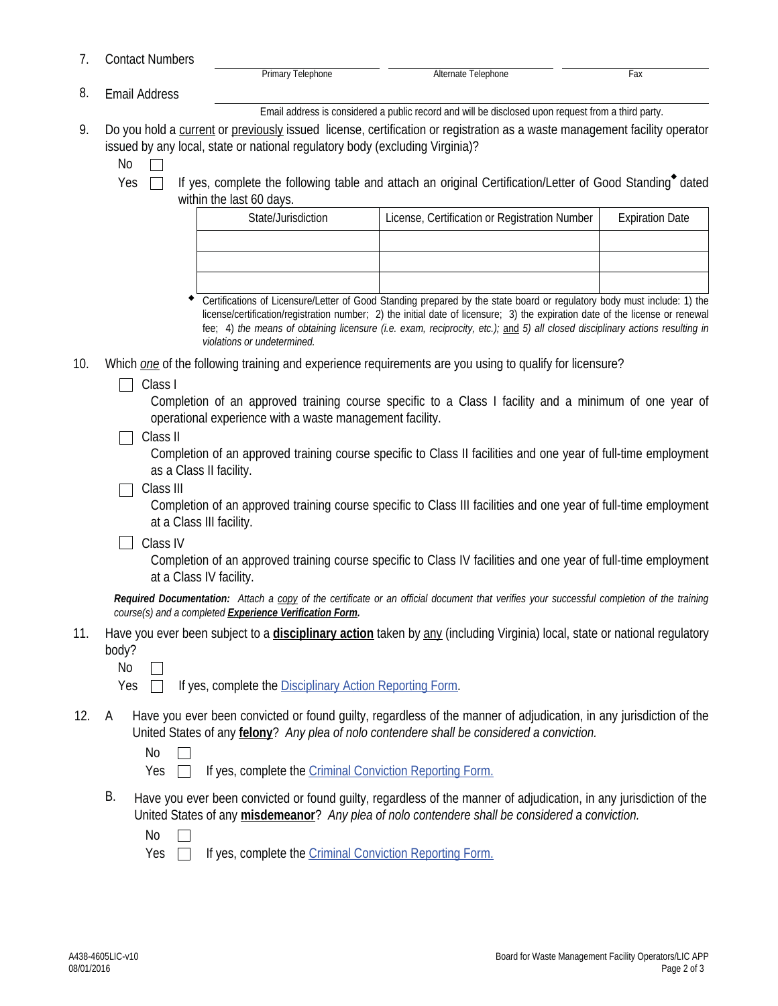7. Contact Numbers

Primary Telephone **Alternate Telephone** Fax

Email Address 8.

Email address is considered a public record and will be disclosed upon request from a third party.

9. Do you hold a current or previously issued license, certification or registration as a waste management facility operator issued by any local, state or national regulatory body (excluding Virginia)?

No  $\Box$ 

Yes  $\Box$  If yes, complete the following table and attach an original Certification/Letter of Good Standing<sup>\*</sup> dated within the last 60 days.

| State/Jurisdiction | License, Certification or Registration Number | <b>Expiration Date</b> |
|--------------------|-----------------------------------------------|------------------------|
|                    |                                               |                        |
|                    |                                               |                        |
|                    |                                               |                        |

Certifications of Licensure/Letter of Good Standing prepared by the state board or regulatory body must include: 1) the license/certification/registration number; 2) the initial date of licensure; 3) the expiration date of the license or renewal fee; 4) *the means of obtaining licensure (i.e. exam, reciprocity, etc.);* and *5) all closed disciplinary actions resulting in violations or undetermined.*  $\bullet$ 

- 10. Which *one* of the following training and experience requirements are you using to qualify for licensure?
	- $\Box$  Class I

Completion of an approved training course specific to a Class I facility and a minimum of one year of operational experience with a waste management facility.

 $\Box$  Class II

Completion of an approved training course specific to Class II facilities and one year of full-time employment as a Class II facility.

 $\Box$  Class III

Completion of an approved training course specific to Class III facilities and one year of full-time employment at a Class III facility.

**Class IV** 

Completion of an approved training course specific to Class IV facilities and one year of full-time employment at a Class IV facility.

*Required Documentation: Attach a copy of the certificate or an official document that verifies your successful completion of the training course(s) and a completed Experience Verification Form.* 

11. Have you ever been subject to a **disciplinary action** taken by any (including Virginia) local, state or national regulatory body?

No  $\Box$ 

 $Yes \Box$  If yes, complete the Disciplinary Action Reporting Form.

Have you ever been convicted or found guilty, regardless of the manner of adjudication, in any jurisdiction of the United States of any **felony**? *Any plea of nolo contendere shall be considered a conviction.* 12. A

> No  $\Box$

Yes  $\Box$ If yes, complete the Criminal Conviction Reporting Form.

B. Have you ever been convicted or found guilty, regardless of the manner of adjudication, in any jurisdiction of the United States of any **misdemeanor**? *Any plea of nolo contendere shall be considered a conviction.*

No  $\Box$ 

Yes  $\Box$ If yes, complete the Criminal Conviction Reporting Form.